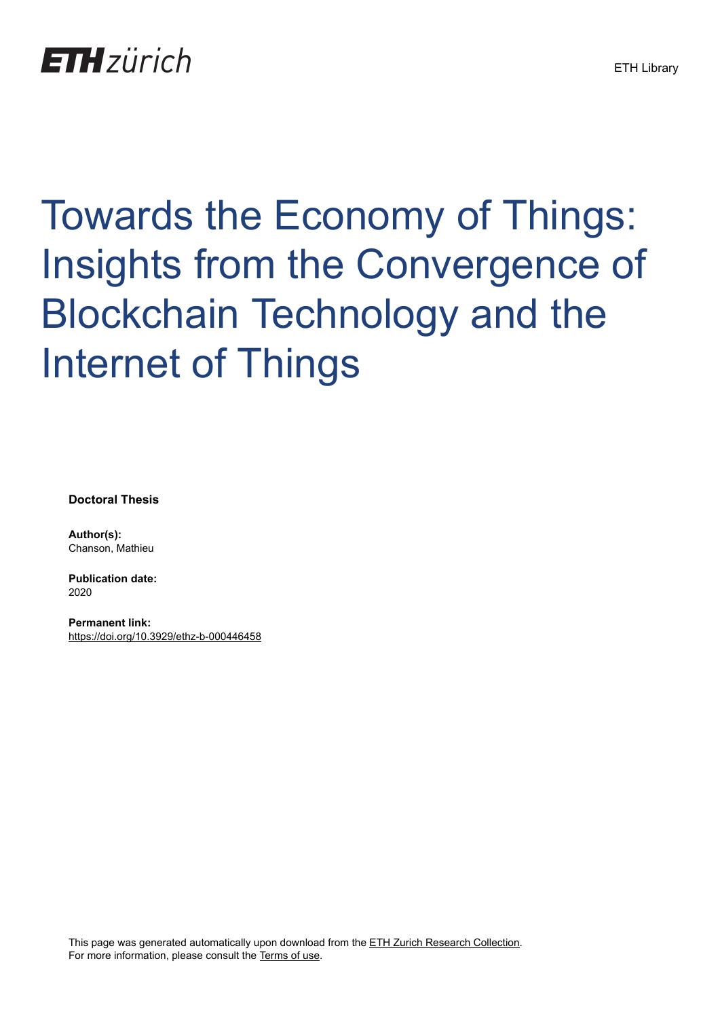## **ETH**zürich

# Towards the Economy of Things: Insights from the Convergence of Blockchain Technology and the Internet of Things

**Doctoral Thesis**

**Author(s):** Chanson, Mathieu

**Publication date:** 2020

**Permanent link:** <https://doi.org/10.3929/ethz-b-000446458>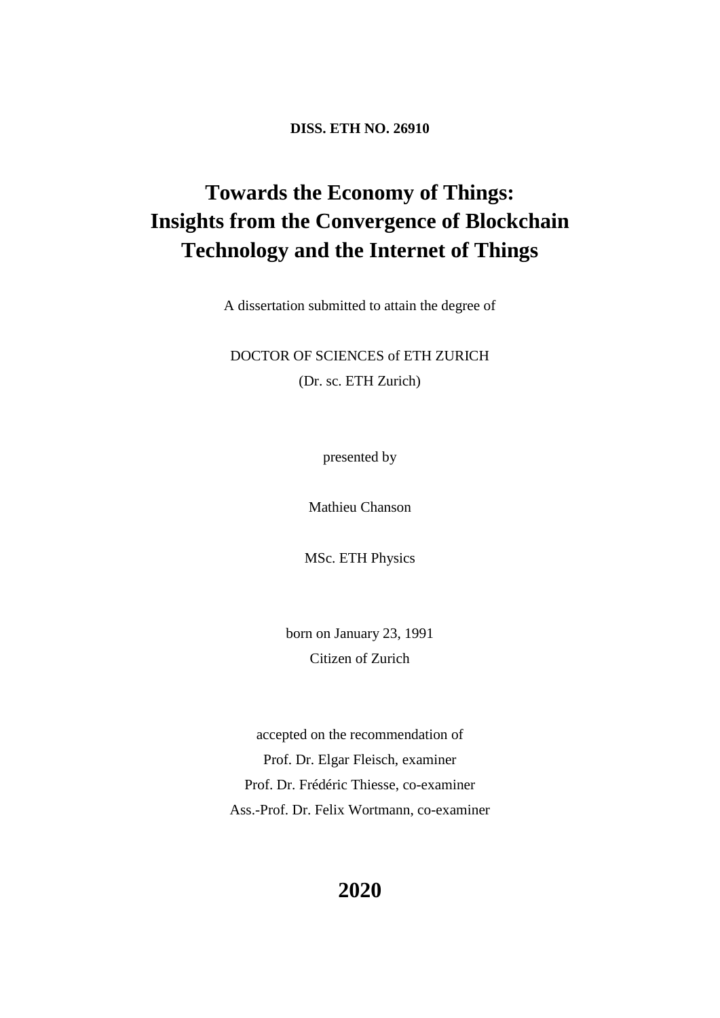**DISS. ETH NO. 26910**

### **Towards the Economy of Things: Insights from the Convergence of Blockchain Technology and the Internet of Things**

A dissertation submitted to attain the degree of

DOCTOR OF SCIENCES of ETH ZURICH (Dr. sc. ETH Zurich)

presented by

Mathieu Chanson

MSc. ETH Physics

born on January 23, 1991 Citizen of Zurich

accepted on the recommendation of Prof. Dr. Elgar Fleisch, examiner Prof. Dr. Frédéric Thiesse, co-examiner Ass.-Prof. Dr. Felix Wortmann, co-examiner

#### **2020**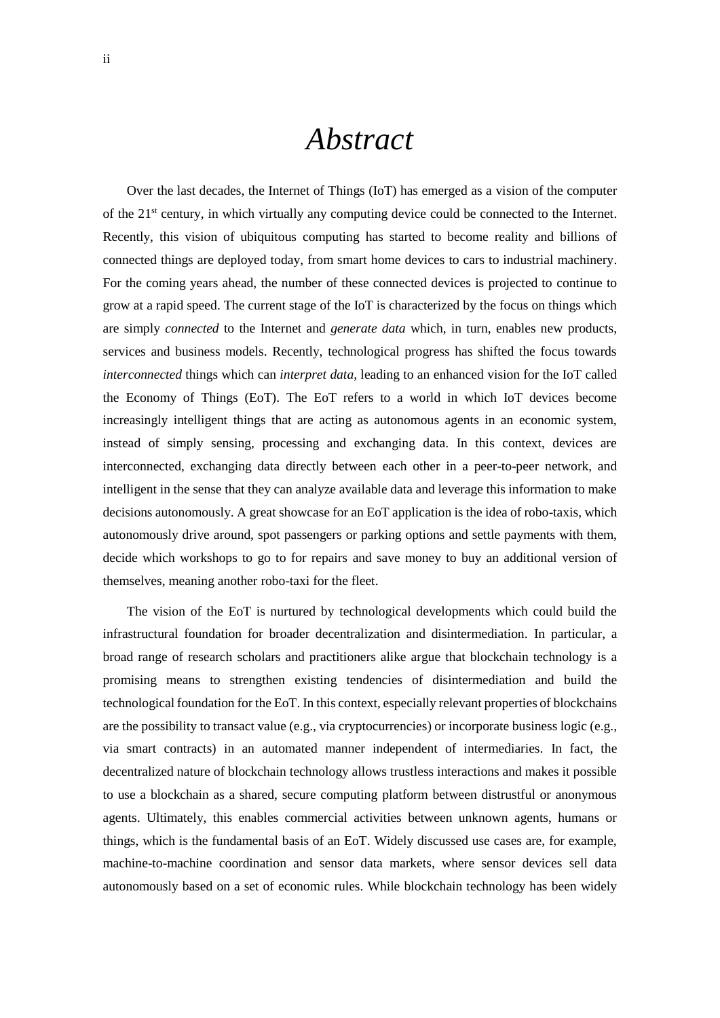## *Abstract*

Over the last decades, the Internet of Things (IoT) has emerged as a vision of the computer of the 21st century, in which virtually any computing device could be connected to the Internet. Recently, this vision of ubiquitous computing has started to become reality and billions of connected things are deployed today, from smart home devices to cars to industrial machinery. For the coming years ahead, the number of these connected devices is projected to continue to grow at a rapid speed. The current stage of the IoT is characterized by the focus on things which are simply *connected* to the Internet and *generate data* which, in turn, enables new products, services and business models. Recently, technological progress has shifted the focus towards *interconnected* things which can *interpret data*, leading to an enhanced vision for the IoT called the Economy of Things (EoT). The EoT refers to a world in which IoT devices become increasingly intelligent things that are acting as autonomous agents in an economic system, instead of simply sensing, processing and exchanging data. In this context, devices are interconnected, exchanging data directly between each other in a peer-to-peer network, and intelligent in the sense that they can analyze available data and leverage this information to make decisions autonomously. A great showcase for an EoT application is the idea of robo-taxis, which autonomously drive around, spot passengers or parking options and settle payments with them, decide which workshops to go to for repairs and save money to buy an additional version of themselves, meaning another robo-taxi for the fleet.

The vision of the EoT is nurtured by technological developments which could build the infrastructural foundation for broader decentralization and disintermediation. In particular, a broad range of research scholars and practitioners alike argue that blockchain technology is a promising means to strengthen existing tendencies of disintermediation and build the technological foundation for the EoT. In this context, especially relevant properties of blockchains are the possibility to transact value (e.g., via cryptocurrencies) or incorporate business logic (e.g., via smart contracts) in an automated manner independent of intermediaries. In fact, the decentralized nature of blockchain technology allows trustless interactions and makes it possible to use a blockchain as a shared, secure computing platform between distrustful or anonymous agents. Ultimately, this enables commercial activities between unknown agents, humans or things, which is the fundamental basis of an EoT. Widely discussed use cases are, for example, machine-to-machine coordination and sensor data markets, where sensor devices sell data autonomously based on a set of economic rules. While blockchain technology has been widely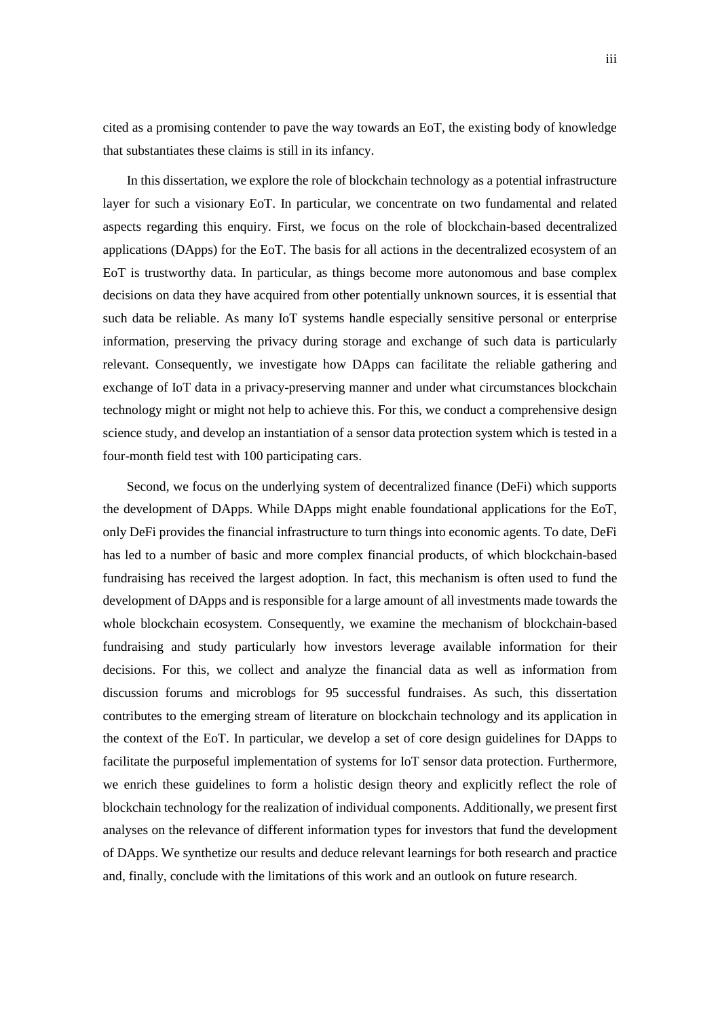cited as a promising contender to pave the way towards an EoT, the existing body of knowledge that substantiates these claims is still in its infancy.

In this dissertation, we explore the role of blockchain technology as a potential infrastructure layer for such a visionary EoT. In particular, we concentrate on two fundamental and related aspects regarding this enquiry. First, we focus on the role of blockchain-based decentralized applications (DApps) for the EoT. The basis for all actions in the decentralized ecosystem of an EoT is trustworthy data. In particular, as things become more autonomous and base complex decisions on data they have acquired from other potentially unknown sources, it is essential that such data be reliable. As many IoT systems handle especially sensitive personal or enterprise information, preserving the privacy during storage and exchange of such data is particularly relevant. Consequently, we investigate how DApps can facilitate the reliable gathering and exchange of IoT data in a privacy-preserving manner and under what circumstances blockchain technology might or might not help to achieve this. For this, we conduct a comprehensive design science study, and develop an instantiation of a sensor data protection system which is tested in a four-month field test with 100 participating cars.

Second, we focus on the underlying system of decentralized finance (DeFi) which supports the development of DApps. While DApps might enable foundational applications for the EoT, only DeFi provides the financial infrastructure to turn things into economic agents. To date, DeFi has led to a number of basic and more complex financial products, of which blockchain-based fundraising has received the largest adoption. In fact, this mechanism is often used to fund the development of DApps and is responsible for a large amount of all investments made towards the whole blockchain ecosystem. Consequently, we examine the mechanism of blockchain-based fundraising and study particularly how investors leverage available information for their decisions. For this, we collect and analyze the financial data as well as information from discussion forums and microblogs for 95 successful fundraises. As such, this dissertation contributes to the emerging stream of literature on blockchain technology and its application in the context of the EoT. In particular, we develop a set of core design guidelines for DApps to facilitate the purposeful implementation of systems for IoT sensor data protection. Furthermore, we enrich these guidelines to form a holistic design theory and explicitly reflect the role of blockchain technology for the realization of individual components. Additionally, we present first analyses on the relevance of different information types for investors that fund the development of DApps. We synthetize our results and deduce relevant learnings for both research and practice and, finally, conclude with the limitations of this work and an outlook on future research.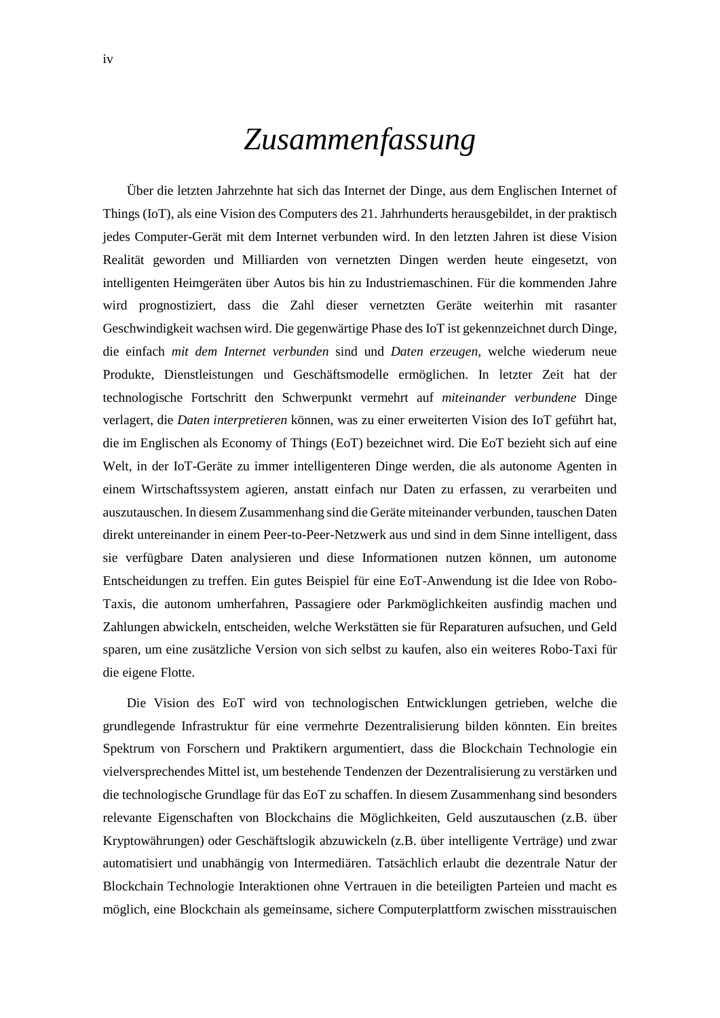## *Zusammenfassung*

Über die letzten Jahrzehnte hat sich das Internet der Dinge, aus dem Englischen Internet of Things (IoT), als eine Vision des Computers des 21. Jahrhunderts herausgebildet, in der praktisch jedes Computer-Gerät mit dem Internet verbunden wird. In den letzten Jahren ist diese Vision Realität geworden und Milliarden von vernetzten Dingen werden heute eingesetzt, von intelligenten Heimgeräten über Autos bis hin zu Industriemaschinen. Für die kommenden Jahre wird prognostiziert, dass die Zahl dieser vernetzten Geräte weiterhin mit rasanter Geschwindigkeit wachsen wird. Die gegenwärtige Phase des IoT ist gekennzeichnet durch Dinge, die einfach *mit dem Internet verbunden* sind und *Daten erzeugen*, welche wiederum neue Produkte, Dienstleistungen und Geschäftsmodelle ermöglichen. In letzter Zeit hat der technologische Fortschritt den Schwerpunkt vermehrt auf *miteinander verbundene* Dinge verlagert, die *Daten interpretieren* können, was zu einer erweiterten Vision des IoT geführt hat, die im Englischen als Economy of Things (EoT) bezeichnet wird. Die EoT bezieht sich auf eine Welt, in der IoT-Geräte zu immer intelligenteren Dinge werden, die als autonome Agenten in einem Wirtschaftssystem agieren, anstatt einfach nur Daten zu erfassen, zu verarbeiten und auszutauschen. In diesem Zusammenhang sind die Geräte miteinander verbunden, tauschen Daten direkt untereinander in einem Peer-to-Peer-Netzwerk aus und sind in dem Sinne intelligent, dass sie verfügbare Daten analysieren und diese Informationen nutzen können, um autonome Entscheidungen zu treffen. Ein gutes Beispiel für eine EoT-Anwendung ist die Idee von Robo-Taxis, die autonom umherfahren, Passagiere oder Parkmöglichkeiten ausfindig machen und Zahlungen abwickeln, entscheiden, welche Werkstätten sie für Reparaturen aufsuchen, und Geld sparen, um eine zusätzliche Version von sich selbst zu kaufen, also ein weiteres Robo-Taxi für die eigene Flotte.

Die Vision des EoT wird von technologischen Entwicklungen getrieben, welche die grundlegende Infrastruktur für eine vermehrte Dezentralisierung bilden könnten. Ein breites Spektrum von Forschern und Praktikern argumentiert, dass die Blockchain Technologie ein vielversprechendes Mittel ist, um bestehende Tendenzen der Dezentralisierung zu verstärken und die technologische Grundlage für das EoT zu schaffen. In diesem Zusammenhang sind besonders relevante Eigenschaften von Blockchains die Möglichkeiten, Geld auszutauschen (z.B. über Kryptowährungen) oder Geschäftslogik abzuwickeln (z.B. über intelligente Verträge) und zwar automatisiert und unabhängig von Intermediären. Tatsächlich erlaubt die dezentrale Natur der Blockchain Technologie Interaktionen ohne Vertrauen in die beteiligten Parteien und macht es möglich, eine Blockchain als gemeinsame, sichere Computerplattform zwischen misstrauischen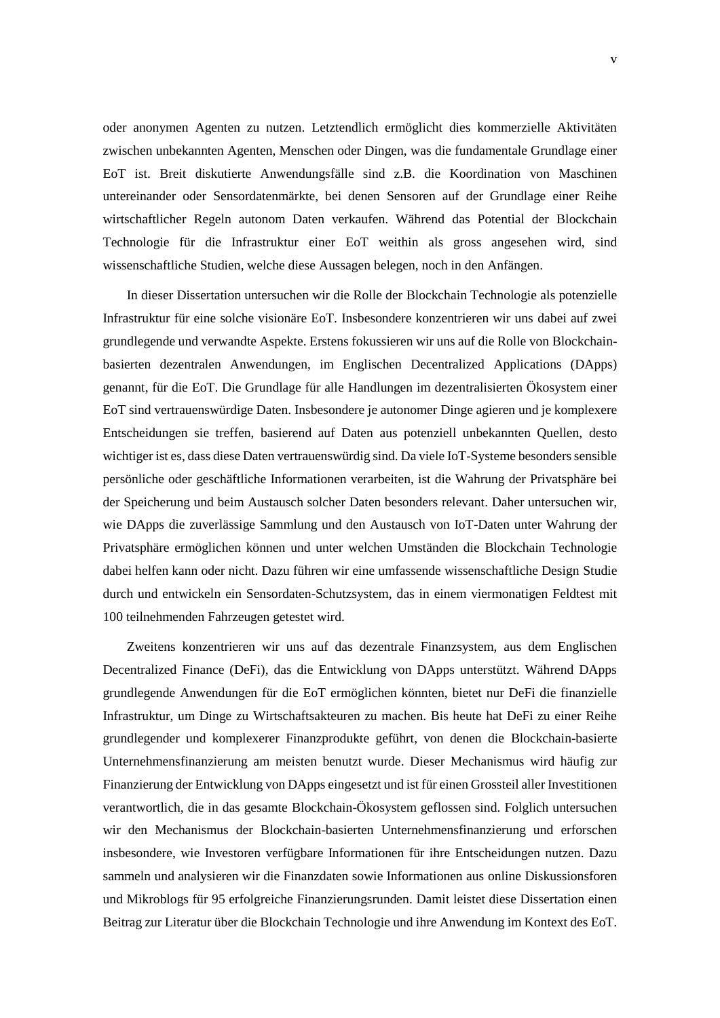oder anonymen Agenten zu nutzen. Letztendlich ermöglicht dies kommerzielle Aktivitäten zwischen unbekannten Agenten, Menschen oder Dingen, was die fundamentale Grundlage einer EoT ist. Breit diskutierte Anwendungsfälle sind z.B. die Koordination von Maschinen untereinander oder Sensordatenmärkte, bei denen Sensoren auf der Grundlage einer Reihe wirtschaftlicher Regeln autonom Daten verkaufen. Während das Potential der Blockchain Technologie für die Infrastruktur einer EoT weithin als gross angesehen wird, sind wissenschaftliche Studien, welche diese Aussagen belegen, noch in den Anfängen.

In dieser Dissertation untersuchen wir die Rolle der Blockchain Technologie als potenzielle Infrastruktur für eine solche visionäre EoT. Insbesondere konzentrieren wir uns dabei auf zwei grundlegende und verwandte Aspekte. Erstens fokussieren wir uns auf die Rolle von Blockchainbasierten dezentralen Anwendungen, im Englischen Decentralized Applications (DApps) genannt, für die EoT. Die Grundlage für alle Handlungen im dezentralisierten Ökosystem einer EoT sind vertrauenswürdige Daten. Insbesondere je autonomer Dinge agieren und je komplexere Entscheidungen sie treffen, basierend auf Daten aus potenziell unbekannten Quellen, desto wichtiger ist es, dass diese Daten vertrauenswürdig sind. Da viele IoT-Systeme besonders sensible persönliche oder geschäftliche Informationen verarbeiten, ist die Wahrung der Privatsphäre bei der Speicherung und beim Austausch solcher Daten besonders relevant. Daher untersuchen wir, wie DApps die zuverlässige Sammlung und den Austausch von IoT-Daten unter Wahrung der Privatsphäre ermöglichen können und unter welchen Umständen die Blockchain Technologie dabei helfen kann oder nicht. Dazu führen wir eine umfassende wissenschaftliche Design Studie durch und entwickeln ein Sensordaten-Schutzsystem, das in einem viermonatigen Feldtest mit 100 teilnehmenden Fahrzeugen getestet wird.

Zweitens konzentrieren wir uns auf das dezentrale Finanzsystem, aus dem Englischen Decentralized Finance (DeFi), das die Entwicklung von DApps unterstützt. Während DApps grundlegende Anwendungen für die EoT ermöglichen könnten, bietet nur DeFi die finanzielle Infrastruktur, um Dinge zu Wirtschaftsakteuren zu machen. Bis heute hat DeFi zu einer Reihe grundlegender und komplexerer Finanzprodukte geführt, von denen die Blockchain-basierte Unternehmensfinanzierung am meisten benutzt wurde. Dieser Mechanismus wird häufig zur Finanzierung der Entwicklung von DApps eingesetzt und ist für einen Grossteil aller Investitionen verantwortlich, die in das gesamte Blockchain-Ökosystem geflossen sind. Folglich untersuchen wir den Mechanismus der Blockchain-basierten Unternehmensfinanzierung und erforschen insbesondere, wie Investoren verfügbare Informationen für ihre Entscheidungen nutzen. Dazu sammeln und analysieren wir die Finanzdaten sowie Informationen aus online Diskussionsforen und Mikroblogs für 95 erfolgreiche Finanzierungsrunden. Damit leistet diese Dissertation einen Beitrag zur Literatur über die Blockchain Technologie und ihre Anwendung im Kontext des EoT.